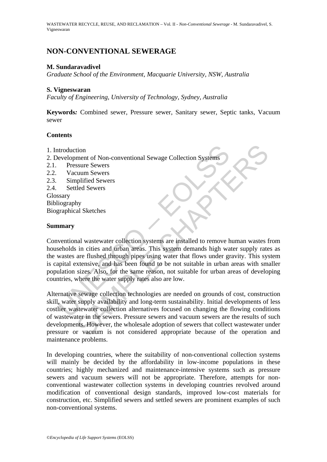# **NON-CONVENTIONAL SEWERAGE**

## **M. Sundaravadivel**

*Graduate School of the Environment, Macquarie University, NSW, Australia* 

## **S. Vigneswaran**

*Faculty of Engineering, University of Technology, Sydney, Australia* 

**Keywords***:* Combined sewer, Pressure sewer, Sanitary sewer, Septic tanks, Vacuum sewer

# **Contents**

- 1. Introduction
- 2. Development of Non-conventional Sewage Collection Systems
- 2.1. Pressure Sewers
- 2.2. Vacuum Sewers
- 2.3. Simplified Sewers
- 2.4. Settled Sewers
- Glossary Bibliography Biographical Sketches

# **Summary**

ntroduction<br>
Pressure of Non-conventional Sewage Collection Systems<br>
Pressure Sewers<br>
Vacuum Sewers<br>
Simplified Sewers<br>
Settled Sewers<br>
Settled Sewers<br>
Settled Sewers<br>
Settled Sewers<br>
Sexery<br>
Sexery<br>
Sexery<br>
prophical Sket Conventional wastewater collection systems are installed to remove human wastes from households in cities and urban areas. This system demands high water supply rates as the wastes are flushed through pipes using water that flows under gravity. This system is capital extensive, and has been found to be not suitable in urban areas with smaller population sizes. Also, for the same reason, not suitable for urban areas of developing countries, where the water supply rates also are low.

tion<br>
sum of Non-conventional Sewage Collection Systems<br>
sum Sewers<br>
unum Sewers<br>
unum Sewers<br>
uled Sewers<br>
uled Sewers<br>
uled Sewers<br>
uled Sewers<br>
and unban areas. This system demands high water supply rate<br>
are flushed th Alternative sewage collection technologies are needed on grounds of cost, construction skill, water supply availability and long-term sustainability. Initial developments of less costlier wastewater collection alternatives focused on changing the flowing conditions of wastewater in the sewers. Pressure sewers and vacuum sewers are the results of such developments. However, the wholesale adoption of sewers that collect wastewater under pressure or vacuum is not considered appropriate because of the operation and maintenance problems.

In developing countries, where the suitability of non-conventional collection systems will mainly be decided by the affordability in low-income populations in these countries; highly mechanized and maintenance-intensive systems such as pressure sewers and vacuum sewers will not be appropriate. Therefore, attempts for nonconventional wastewater collection systems in developing countries revolved around modification of conventional design standards, improved low-cost materials for construction, etc. Simplified sewers and settled sewers are prominent examples of such non-conventional systems.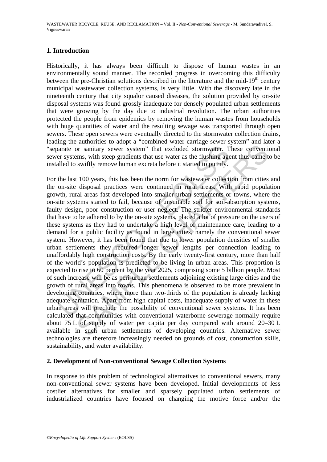# **1. Introduction**

Historically, it has always been difficult to dispose of human wastes in an environmentally sound manner. The recorded progress in overcoming this difficulty between the pre-Christian solutions described in the literature and the mid-19<sup>th</sup> century municipal wastewater collection systems, is very little. With the discovery late in the nineteenth century that city squalor caused diseases, the solution provided by on-site disposal systems was found grossly inadequate for densely populated urban settlements that were growing by the day due to industrial revolution. The urban authorities protected the people from epidemics by removing the human wastes from households with huge quantities of water and the resulting sewage was transported through open sewers. These open sewers were eventually directed to the stormwater collection drains, leading the authorities to adopt a "combined water carriage sewer system" and later a "separate or sanitary sewer system" that excluded stormwater. These conventional sewer systems, with steep gradients that use water as the flushing agent thus came to be installed to swiftly remove human excreta before it started to putrify.

parate or sanitary sewer system" that excluded stormwater. The rystems, with steep gradients that use water as the flushing agelled to swiftly remove human excreta before it started to putrify.<br>
the last 100 years, this ha For sanitary sever system" that excluded stormwater. These conventions, with steep gradients that use water as the flushing agent thus came te swiftly remove human excreta before it started to putrify.<br>
If 100 years, this For the last 100 years, this has been the norm for wastewater collection from cities and the on-site disposal practices were continued in rural areas. With rapid population growth, rural areas fast developed into smaller urban settlements or towns, where the on-site systems started to fail, because of unsuitable soil for soil-absorption systems, faulty design, poor construction or user neglect. The stricter environmental standards that have to be adhered to by the on-site systems, placed a lot of pressure on the users of these systems as they had to undertake a high level of maintenance care, leading to a demand for a public facility as found in large cities, namely the conventional sewer system. However, it has been found that due to lower population densities of smaller urban settlements they required longer sewer lengths per connection leading to unaffordably high construction costs. By the early twenty-first century, more than half of the world's population is predicted to be living in urban areas. This proportion is expected to rise to 60 percent by the year 2025, comprising some 5 billion people. Most of such increase will be as peri-urban settlements adjoining existing large cities and the growth of rural areas into towns. This phenomena is observed to be more prevalent in developing countries, where more than two-thirds of the population is already lacking adequate sanitation. Apart from high capital costs, inadequate supply of water in these urban areas will preclude the possibility of conventional sewer systems. It has been calculated that communities with conventional waterborne sewerage normally require about 75 L of supply of water per capita per day compared with around 20–30 L available in such urban settlements of developing countries. Alternative sewer technologies are therefore increasingly needed on grounds of cost, construction skills, sustainability, and water availability.

## **2. Development of Non-conventional Sewage Collection Systems**

In response to this problem of technological alternatives to conventional sewers, many non-conventional sewer systems have been developed. Initial developments of less costlier alternatives for smaller and sparsely populated urban settlements of industrialized countries have focused on changing the motive force and/or the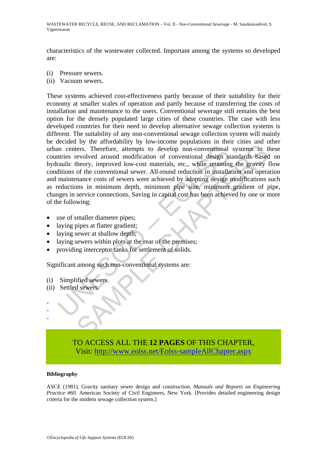characteristics of the wastewater collected. Important among the systems so developed are:

- (i) Pressure sewers.
- (ii) Vacuum sewers.

In centers. Therefore, attempts to develop non-conventional<br>thries revolved around modification of conventional design straulic theory, improved low-cost materials, etc., while retaining<br>itions of the conventional sewer. A Fraction Control and Markov and Markov and Markov and Markov and Markov and Markov and modification of conventional design standards based<br>theory, improved low-cost materials, etc., while retaining the gravity of<br>the conve These systems achieved cost-effectiveness partly because of their suitability for their economy at smaller scales of operation and partly because of transferring the costs of installation and maintenance to the users. Conventional sewerage still remains the best option for the densely populated large cities of these countries. The case with less developed countries for their need to develop alternative sewage collection systems is different. The suitability of any non-conventional sewage collection system will mainly be decided by the affordability by low-income populations in their cities and other urban centers. Therefore, attempts to develop non-conventional systems in these countries revolved around modification of conventional design standards based on hydraulic theory, improved low-cost materials, etc., while retaining the gravity flow conditions of the conventional sewer. All-round reduction in installation and operation and maintenance costs of sewers were achieved by adopting design modifications such as reductions in minimum depth, minimum pipe size, minimum gradient of pipe, changes in service connections. Saving in capital cost has been achieved by one or more of the following:

- use of smaller diameter pipes;
- laying pipes at flatter gradient;
- laying sewer at shallow depth;
- laying sewers within plots at the rear of the premises;
- providing interceptor tanks for settlement of solids.

Significant among such non-conventional systems are:

- (i) Simplified sewers.
- (ii) Settled sewers.

- - -

# TO ACCESS ALL THE **12 PAGES** OF THIS CHAPTER, Visi[t: http://www.eolss.net/Eolss-sampleAllChapter.aspx](https://www.eolss.net/ebooklib/sc_cart.aspx?File=E2-14-04-03)

### **Bibliography**

ASCE (1981). Gravity sanitary sewer design and construction. *Manuals and Reports on Engineering Practice #60.* American Society of Civil Engineers, New York. [Provides detailed engineering design criteria for the modern sewage collection system.]